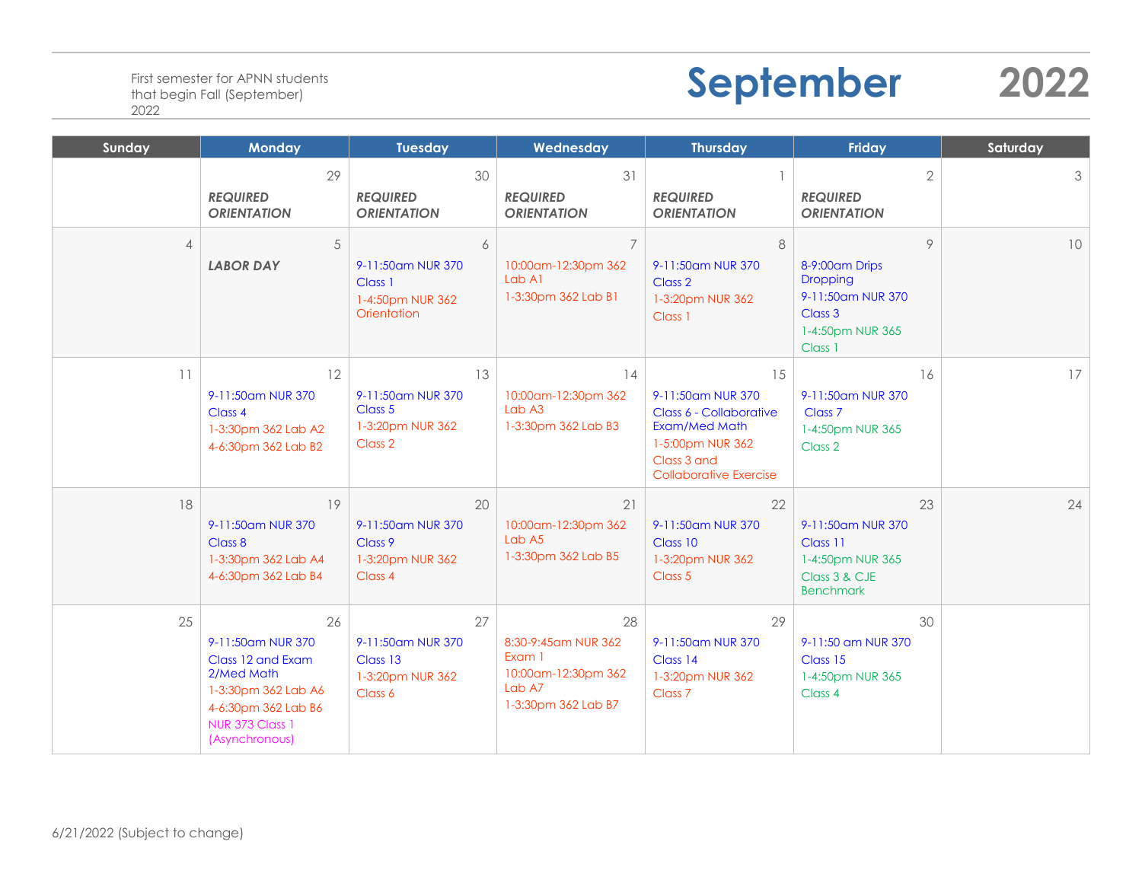## **September 2022**

| Sunday         | <b>Monday</b>                                                                                                                                        | <b>Tuesday</b>                                                       | Wednesday                                                                                    | <b>Thursday</b>                                                                                                                         | Friday                                                                                                | Saturday |
|----------------|------------------------------------------------------------------------------------------------------------------------------------------------------|----------------------------------------------------------------------|----------------------------------------------------------------------------------------------|-----------------------------------------------------------------------------------------------------------------------------------------|-------------------------------------------------------------------------------------------------------|----------|
|                | 29<br><b>REQUIRED</b><br><b>ORIENTATION</b>                                                                                                          | 30<br><b>REQUIRED</b><br><b>ORIENTATION</b>                          | 31<br><b>REQUIRED</b><br><b>ORIENTATION</b>                                                  | <b>REQUIRED</b><br><b>ORIENTATION</b>                                                                                                   | $\overline{2}$<br><b>REQUIRED</b><br><b>ORIENTATION</b>                                               | 3        |
| $\overline{4}$ | 5<br><b>LABOR DAY</b>                                                                                                                                | 6<br>9-11:50am NUR 370<br>Class 1<br>1-4:50pm NUR 362<br>Orientation | $\overline{7}$<br>10:00am-12:30pm 362<br>Lab A1<br>1-3:30pm 362 Lab B1                       | 8<br>9-11:50am NUR 370<br>Class 2<br>1-3:20pm NUR 362<br>Class 1                                                                        | $\circ$<br>8-9:00 am Drips<br>Dropping<br>9-11:50am NUR 370<br>Class 3<br>1-4:50pm NUR 365<br>Class 1 | 10       |
| 11             | 12<br>9-11:50am NUR 370<br>Class 4<br>1-3:30pm 362 Lab A2<br>4-6:30pm 362 Lab B2                                                                     | 13<br>9-11:50am NUR 370<br>Class 5<br>1-3:20pm NUR 362<br>Class 2    | 14<br>10:00am-12:30pm 362<br>Lab A3<br>1-3:30pm 362 Lab B3                                   | 15<br>9-11:50am NUR 370<br>Class 6 - Collaborative<br>Exam/Med Math<br>1-5:00pm NUR 362<br>Class 3 and<br><b>Collaborative Exercise</b> | 16<br>9-11:50am NUR 370<br>Class <sub>7</sub><br>1-4:50pm NUR 365<br>Class 2                          | 17       |
| 18             | 19<br>9-11:50am NUR 370<br>Class 8<br>1-3:30pm 362 Lab A4<br>4-6:30pm 362 Lab B4                                                                     | 20<br>9-11:50am NUR 370<br>Class 9<br>1-3:20pm NUR 362<br>Class 4    | 21<br>10:00am-12:30pm 362<br>Lab A5<br>1-3:30pm 362 Lab B5                                   | 22<br>9-11:50am NUR 370<br>Class 10<br>1-3:20pm NUR 362<br>Class 5                                                                      | 23<br>9-11:50am NUR 370<br>Class 11<br>1-4:50pm NUR 365<br>Class 3 & CJE<br><b>Benchmark</b>          | 24       |
| 25             | 26<br>9-11:50am NUR 370<br>Class 12 and Exam<br>2/Med Math<br>1-3:30pm 362 Lab A6<br>4-6:30pm 362 Lab B6<br><b>NUR 373 Class 1</b><br>(Asynchronous) | 27<br>9-11:50am NUR 370<br>Class 13<br>1-3:20pm NUR 362<br>Class 6   | 28<br>8:30-9:45 am NUR 362<br>Exam 1<br>10:00am-12:30pm 362<br>Lab A7<br>1-3:30pm 362 Lab B7 | 29<br>9-11:50am NUR 370<br>Class 14<br>1-3:20pm NUR 362<br>Class <sub>7</sub>                                                           | 30<br>9-11:50 am NUR 370<br>Class 15<br>1-4:50pm NUR 365<br>Class 4                                   |          |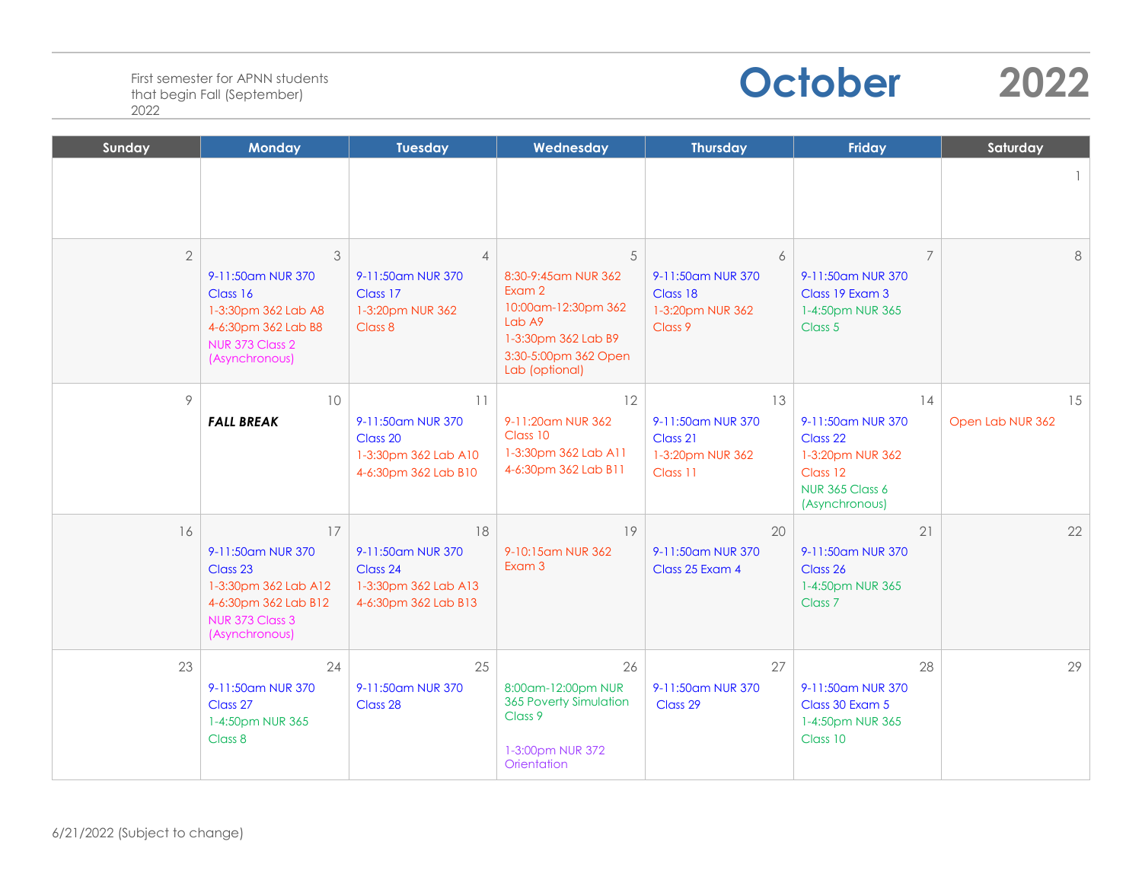

| Sunday         | <b>Monday</b>                                                                                                            | <b>Tuesday</b>                                                                      | Wednesday                                                                                                                             | <b>Thursday</b>                                                     | Friday                                                                                                          | Saturday               |
|----------------|--------------------------------------------------------------------------------------------------------------------------|-------------------------------------------------------------------------------------|---------------------------------------------------------------------------------------------------------------------------------------|---------------------------------------------------------------------|-----------------------------------------------------------------------------------------------------------------|------------------------|
|                |                                                                                                                          |                                                                                     |                                                                                                                                       |                                                                     |                                                                                                                 |                        |
| $\overline{2}$ | 3<br>9-11:50am NUR 370<br>Class 16<br>1-3:30pm 362 Lab A8<br>4-6:30pm 362 Lab B8<br>NUR 373 Class 2<br>(Asynchronous)    | $\overline{4}$<br>9-11:50am NUR 370<br>Class 17<br>1-3:20pm NUR 362<br>Class 8      | 5<br>8:30-9:45 am NUR 362<br>Exam 2<br>10:00am-12:30pm 362<br>Lab A9<br>1-3:30pm 362 Lab B9<br>3:30-5:00pm 362 Open<br>Lab (optional) | 6<br>9-11:50am NUR 370<br>Class 18<br>1-3:20pm NUR 362<br>Class 9   | $\overline{7}$<br>9-11:50am NUR 370<br>Class 19 Exam 3<br>1-4:50pm NUR 365<br>Class 5                           | 8                      |
| 9              | 10<br><b>FALL BREAK</b>                                                                                                  | 11<br>9-11:50am NUR 370<br>Class 20<br>1-3:30pm 362 Lab A10<br>4-6:30pm 362 Lab B10 | 12<br>9-11:20am NUR 362<br>Class 10<br>1-3:30pm 362 Lab A11<br>4-6:30pm 362 Lab B11                                                   | 13<br>9-11:50am NUR 370<br>Class 21<br>1-3:20pm NUR 362<br>Class 11 | 14<br>9-11:50am NUR 370<br>Class 22<br>1-3:20pm NUR 362<br>Class 12<br><b>NUR 365 Class 6</b><br>(Asynchronous) | 15<br>Open Lab NUR 362 |
| 16             | 17<br>9-11:50am NUR 370<br>Class 23<br>1-3:30pm 362 Lab A12<br>4-6:30pm 362 Lab B12<br>NUR 373 Class 3<br>(Asynchronous) | 18<br>9-11:50am NUR 370<br>Class 24<br>1-3:30pm 362 Lab A13<br>4-6:30pm 362 Lab B13 | 19<br>9-10:15am NUR 362<br>Exam 3                                                                                                     | 20<br>9-11:50am NUR 370<br>Class 25 Exam 4                          | 21<br>9-11:50am NUR 370<br>Class 26<br>1-4:50pm NUR 365<br>Class <sub>7</sub>                                   | 22                     |
| 23             | 24<br>9-11:50am NUR 370<br>Class 27<br>1-4:50pm NUR 365<br>Class 8                                                       | 25<br>9-11:50am NUR 370<br>Class 28                                                 | 26<br>8:00am-12:00pm NUR<br>365 Poverty Simulation<br>Class 9<br>1-3:00pm NUR 372<br>Orientation                                      | 27<br>9-11:50am NUR 370<br>Class 29                                 | 28<br>9-11:50am NUR 370<br>Class 30 Exam 5<br>1-4:50pm NUR 365<br>Class 10                                      | 29                     |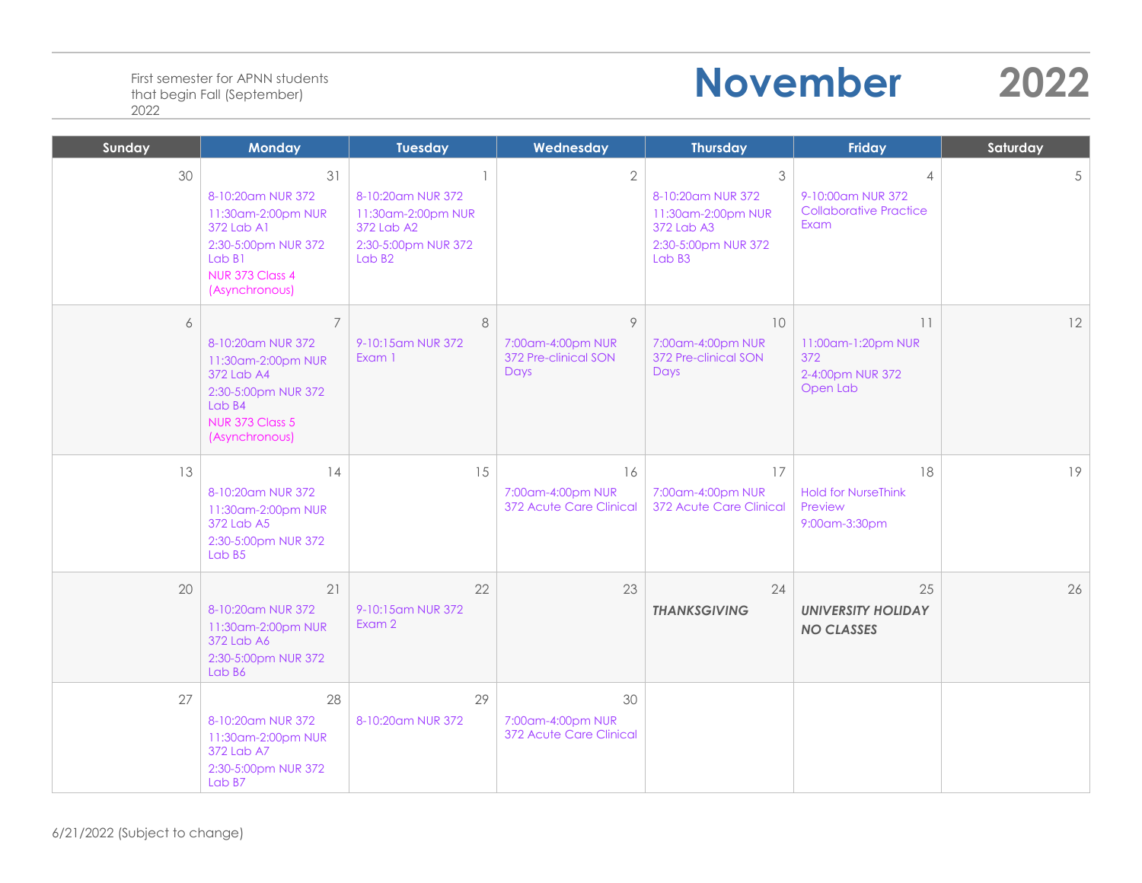## **November 2022**

| Sunday | <b>Monday</b>                                                                                                                                        | <b>Tuesday</b>                                                                                                    | Wednesday                                                     | <b>Thursday</b>                                                                             | <b>Friday</b>                                                                | Saturday |
|--------|------------------------------------------------------------------------------------------------------------------------------------------------------|-------------------------------------------------------------------------------------------------------------------|---------------------------------------------------------------|---------------------------------------------------------------------------------------------|------------------------------------------------------------------------------|----------|
| 30     | 31<br>8-10:20am NUR 372<br>11:30am-2:00pm NUR<br>372 Lab A1<br>2:30-5:00pm NUR 372<br>Lab B1<br>NUR 373 Class 4<br>(Asynchronous)                    | $\mathbf{1}$<br>8-10:20am NUR 372<br>11:30am-2:00pm NUR<br>372 Lab A2<br>2:30-5:00pm NUR 372<br>Lab <sub>B2</sub> | $\overline{2}$                                                | 3<br>8-10:20am NUR 372<br>11:30am-2:00pm NUR<br>372 Lab A3<br>2:30-5:00pm NUR 372<br>Lab B3 | $\overline{4}$<br>9-10:00am NUR 372<br><b>Collaborative Practice</b><br>Exam | 5        |
| 6      | $\overline{7}$<br>8-10:20am NUR 372<br>11:30am-2:00pm NUR<br>372 Lab A4<br>2:30-5:00pm NUR 372<br>Lab B4<br><b>NUR 373 Class 5</b><br>(Asynchronous) | 8<br>9-10:15am NUR 372<br>Exam 1                                                                                  | 9<br>7:00am-4:00pm NUR<br>372 Pre-clinical SON<br><b>Days</b> | 10<br>7:00am-4:00pm NUR<br>372 Pre-clinical SON<br>Days                                     | 11<br>11:00am-1:20pm NUR<br>372<br>2-4:00pm NUR 372<br>Open Lab              | 12       |
| 13     | 14<br>8-10:20am NUR 372<br>11:30am-2:00pm NUR<br>372 Lab A5<br>2:30-5:00pm NUR 372<br>Lab B5                                                         | 15                                                                                                                | 16<br>7:00am-4:00pm NUR<br>372 Acute Care Clinical            | 17<br>7:00am-4:00pm NUR<br>372 Acute Care Clinical                                          | 18<br><b>Hold for NurseThink</b><br>Preview<br>9:00am-3:30pm                 | 19       |
| 20     | 21<br>8-10:20am NUR 372<br>11:30am-2:00pm NUR<br>372 Lab A6<br>2:30-5:00pm NUR 372<br>Lab B6                                                         | 22<br>9-10:15am NUR 372<br>Exam 2                                                                                 | 23                                                            | 24<br><b>THANKSGIVING</b>                                                                   | 25<br><b>UNIVERSITY HOLIDAY</b><br><b>NO CLASSES</b>                         | 26       |
| 27     | 28<br>8-10:20am NUR 372<br>11:30am-2:00pm NUR<br>372 Lab A7<br>2:30-5:00pm NUR 372<br>Lab B7                                                         | 29<br>8-10:20am NUR 372                                                                                           | 30<br>7:00am-4:00pm NUR<br>372 Acute Care Clinical            |                                                                                             |                                                                              |          |